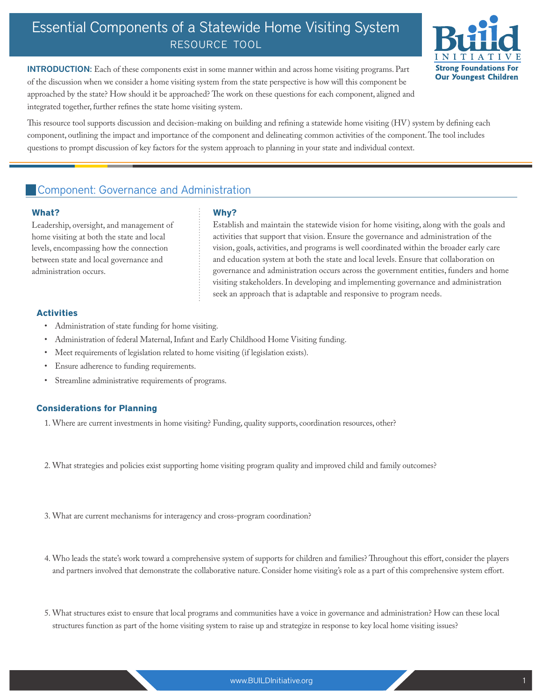# Essential Components of a Statewide Home Visiting System resource tool



INTRODUCTION: Each of these components exist in some manner within and across home visiting programs. Part of the discussion when we consider a home visiting system from the state perspective is how will this component be approached by the state? How should it be approached? The work on these questions for each component, aligned and integrated together, further refines the state home visiting system.

This resource tool supports discussion and decision-making on building and refining a statewide home visiting (HV) system by defining each component, outlining the impact and importance of the component and delineating common activities of the component. The tool includes questions to prompt discussion of key factors for the system approach to planning in your state and individual context.

## Component: Governance and Administration

#### **What?**

Leadership, oversight, and management of home visiting at both the state and local levels, encompassing how the connection between state and local governance and administration occurs.

### **Why?**

Establish and maintain the statewide vision for home visiting, along with the goals and activities that support that vision. Ensure the governance and administration of the vision, goals, activities, and programs is well coordinated within the broader early care and education system at both the state and local levels. Ensure that collaboration on governance and administration occurs across the government entities, funders and home visiting stakeholders.In developing and implementing governance and administration seek an approach that is adaptable and responsive to program needs.

### **Activities**

- • Administration of state funding for home visiting.
- Administration of federal Maternal, Infant and Early Childhood Home Visiting funding.
- Meet requirements of legislation related to home visiting (if legislation exists).
- Ensure adherence to funding requirements.
- Streamline administrative requirements of programs.

### **Considerations for Planning**

- 1. Where are current investments in home visiting? Funding, quality supports, coordination resources, other?
- 2. What strategies and policies exist supporting home visiting program quality and improved child and family outcomes?
- 3. What are current mechanisms for interagency and cross-program coordination?
- 4. Who leads the state's work toward a comprehensive system of supports for children and families? Throughout this effort, consider the players and partners involved that demonstrate the collaborative nature. Consider home visiting's role as a part of this comprehensive system effort.
- 5. What structures exist to ensure that local programs and communities have a voice in governance and administration? How can these local structures function as part of the home visiting system to raise up and strategize in response to key local home visiting issues?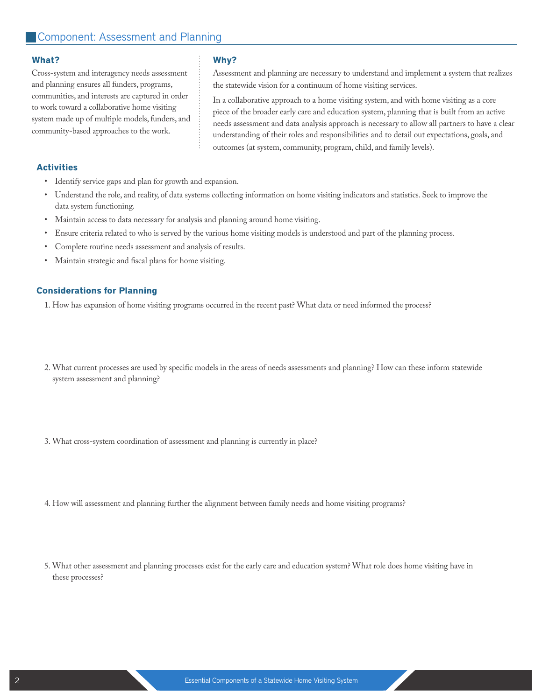### Cross-system and interagency needs assessment and planning ensures all funders, programs, communities, and interests are captured in order to work toward a collaborative home visiting system made up of multiple models, funders, and community-based approaches to the work.

#### **Why?**

Assessment and planning are necessary to understand and implement a system that realizes the statewide vision for a continuum of home visiting services.

In a collaborative approach to a home visiting system, and with home visiting as a core piece of the broader early care and education system, planning that is built from an active needs assessment and data analysis approach is necessary to allow all partners to have a clear understanding of their roles and responsibilities and to detail out expectations, goals, and outcomes (at system, community, program, child, and family levels).

#### **Activities**

- • Identify service gaps and plan for growth and expansion.
- Understand the role, and reality, of data systems collecting information on home visiting indicators and statistics. Seek to improve the data system functioning.
- • Maintain access to data necessary for analysis and planning around home visiting.
- Ensure criteria related to who is served by the various home visiting models is understood and part of the planning process.
- Complete routine needs assessment and analysis of results.
- Maintain strategic and fiscal plans for home visiting.

#### **Considerations for Planning**

1. How has expansion of home visiting programs occurred in the recent past? What data or need informed the process?

- 2. What current processes are used by specific models in the areas of needs assessments and planning? How can these inform statewide system assessment and planning?
- 3. What cross-system coordination of assessment and planning is currently in place?
- 4. How will assessment and planning further the alignment between family needs and home visiting programs?
- 5. What other assessment and planning processes exist for the early care and education system? What role does home visiting have in these processes?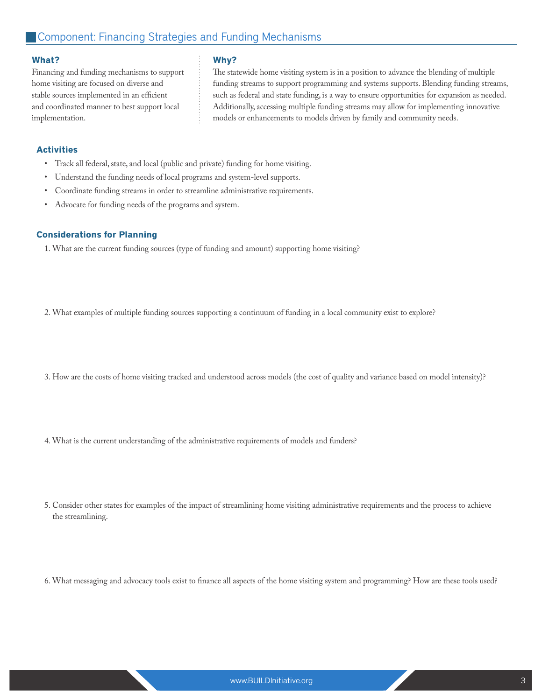Financing and funding mechanisms to support home visiting are focused on diverse and stable sources implemented in an efficient and coordinated manner to best support local implementation.

### **Why?**

The statewide home visiting system is in a position to advance the blending of multiple funding streams to support programming and systems supports. Blending funding streams, such as federal and state funding, is a way to ensure opportunities for expansion as needed. Additionally, accessing multiple funding streams may allow for implementing innovative models or enhancements to models driven by family and community needs.

### **Activities**

- Track all federal, state, and local (public and private) funding for home visiting.
- Understand the funding needs of local programs and system-level supports.
- Coordinate funding streams in order to streamline administrative requirements.
- Advocate for funding needs of the programs and system.

### **Considerations for Planning**

1. What are the current funding sources (type of funding and amount) supporting home visiting?

2. What examples of multiple funding sources supporting a continuum of funding in a local community exist to explore?

- 3. How are the costs of home visiting tracked and understood across models (the cost of quality and variance based on model intensity)?
- 4. What is the current understanding of the administrative requirements of models and funders?
- 5. Consider other states for examples of the impact of streamlining home visiting administrative requirements and the process to achieve the streamlining.
- 6. What messaging and advocacy tools exist to finance all aspects of the home visiting system and programming? How are these tools used?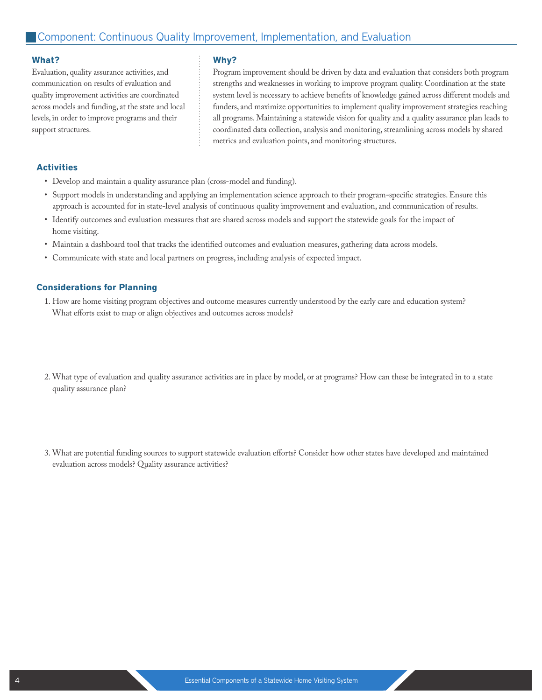Evaluation, quality assurance activities, and communication on results of evaluation and quality improvement activities are coordinated across models and funding, at the state and local levels, in order to improve programs and their support structures.

#### **Why?**

Program improvement should be driven by data and evaluation that considers both program strengths and weaknesses in working to improve program quality. Coordination at the state system level is necessary to achieve benefits of knowledge gained across different models and funders, and maximize opportunities to implement quality improvement strategies reaching all programs. Maintaining a statewide vision for quality and a quality assurance plan leads to coordinated data collection, analysis and monitoring, streamlining across models by shared metrics and evaluation points, and monitoring structures.

#### **Activities**

- • Develop and maintain a quality assurance plan (cross-model and funding).
- • Support models in understanding and applying an implementation science approach to their program-specific strategies.Ensure this approach is accounted for in state-level analysis of continuous quality improvement and evaluation, and communication of results.
- • Identify outcomes and evaluation measures that are shared across models and support the statewide goals for the impact of home visiting.
- • Maintain a dashboard tool that tracks the identified outcomes and evaluation measures, gathering data across models.
- • Communicate with state and local partners on progress, including analysis of expected impact.

#### **Considerations for Planning**

- 1. How are home visiting program objectives and outcome measures currently understood by the early care and education system? What efforts exist to map or align objectives and outcomes across models?
- 2. What type of evaluation and quality assurance activities are in place by model, or at programs? How can these be integrated in to a state quality assurance plan?
- 3. What are potential funding sources to support statewide evaluation efforts? Consider how other states have developed and maintained evaluation across models? Quality assurance activities?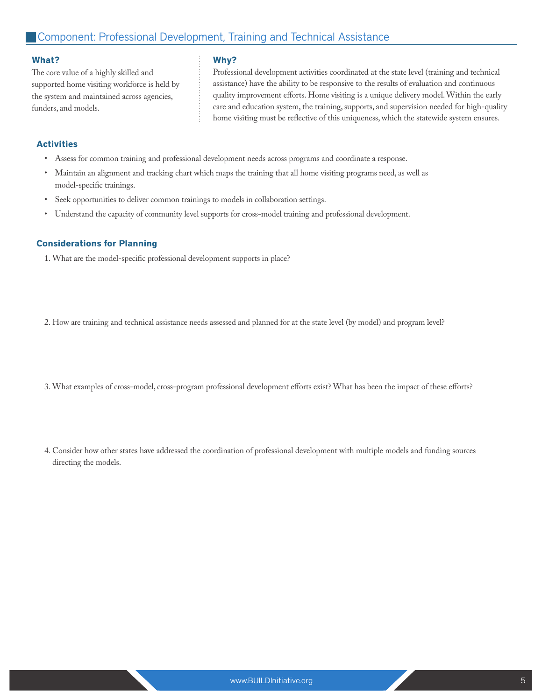The core value of a highly skilled and supported home visiting workforce is held by the system and maintained across agencies, funders, and models.

### **Why?**

Professional development activities coordinated at the state level (training and technical assistance) have the ability to be responsive to the results of evaluation and continuous quality improvement efforts. Home visiting is a unique delivery model. Within the early care and education system, the training, supports, and supervision needed for high-quality home visiting must be reflective of this uniqueness, which the statewide system ensures.

### **Activities**

- Assess for common training and professional development needs across programs and coordinate a response.
- • Maintain an alignment and tracking chart which maps the training that all home visiting programs need, as well as model-specific trainings.
- • Seek opportunities to deliver common trainings to models in collaboration settings.
- • Understand the capacity of community level supports for cross-model training and professional development.

### **Considerations for Planning**

1. What are the model-specific professional development supports in place?

2. How are training and technical assistance needs assessed and planned for at the state level (by model) and program level?

- 3. What examples of cross-model, cross-program professional development efforts exist? What has been the impact of these efforts?
- 4. Consider how other states have addressed the coordination of professional development with multiple models and funding sources directing the models.